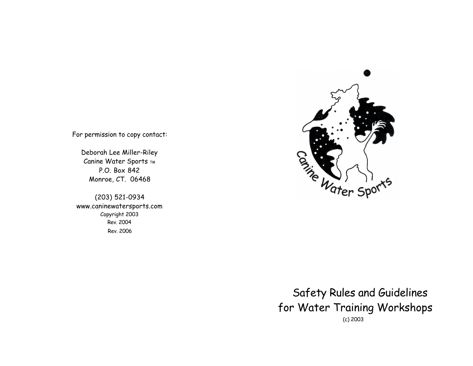

For permission to copy contact:

Deborah Lee Miller-Riley Canine Water Sports TM P.O. Box 842 Monroe, CT. 06468

(203) 521-0934 www.caninewatersports.com Copyright 2003 Rev. 2004 Rev. 2006

> Safety Rules and Guidelines for Water Training Workshops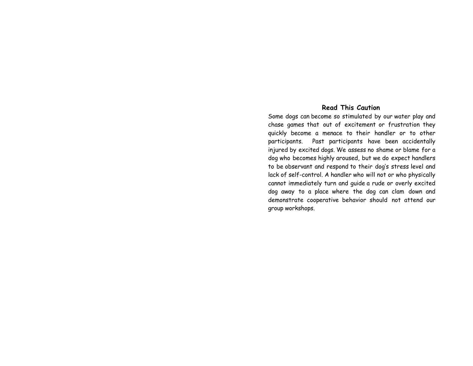#### **Read This Caution**

Some dogs can become so stimulated by our water play and chase games that out of excitement or frustration they quickly become a menace to their handler or to other participants. Past participants have been accidentally injured by excited dogs. We assess no shame or blame for a dog who becomes highly aroused, but we do expect handlers to be observant and respond to their dog's stress level and lack of self-control. A handler who will not or who physically cannot immediately turn and guide a rude or overly excited dog away to a place where the dog can clam down and demonstrate cooperative behavior should not attend our group workshops.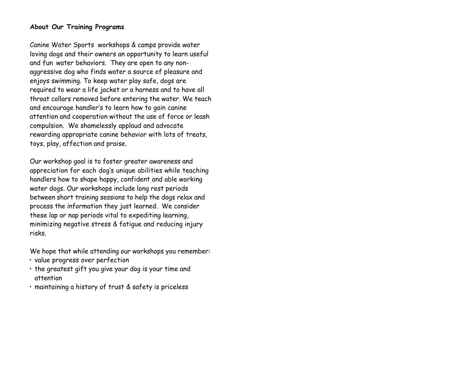#### **About Our Training Programs**

Canine Water Sports workshops & camps provide water loving dogs and their owners an opportunity to learn useful and fun water behaviors. They are open to any nonaggressive dog who finds water a source of pleasure and enjoys swimming. To keep water play safe, dogs are required to wear a life jacket or a harness and to have all throat collars removed before entering the water. We teach and encourage handler's to learn how to gain canine attention and cooperation without the use of force or leash compulsion. We shamelessly applaud and advocate rewarding appropriate canine behavior with lots of treats, toys, play, affection and praise.

Our workshop goal is to foster greater awareness and appreciation for each dog's unique abilities while teaching handlers how to shape happy, confident and able working water dogs. Our workshops include long rest periods between short training sessions to help the dogs relax and process the information they just learned. We consider these lap or nap periods vital to expediting learning, minimizing negative stress & fatigue and reducing injury risks.

We hope that while attending our workshops you remember:

- value progress over perfection
- the greatest gift you give your dog is your time and attention
- maintaining a history of trust & safety is priceless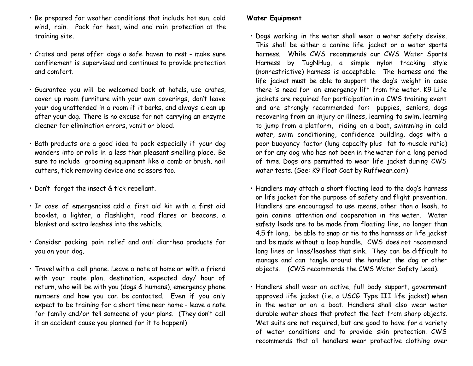- Be prepared for weather conditions that include hot sun, cold wind, rain. Pack for heat, wind and rain protection at the training site.
- Crates and pens offer dogs a safe haven to rest make sure confinement is supervised and continues to provide protection and comfort.
- Guarantee you will be welcomed back at hotels, use crates, cover up room furniture with your own coverings, don't leave your dog unattended in a room if it barks, and always clean up after your dog. There is no excuse for not carrying an enzyme cleaner for elimination errors, vomit or blood.
- Bath products are a good idea to pack especially if your dog wanders into or rolls in a less than pleasant smelling place. Be sure to include grooming equipment like a comb or brush, nail cutters, tick removing device and scissors too.
- Don't forget the insect & tick repellant.
- In case of emergencies add a first aid kit with a first aid booklet, a lighter, a flashlight, road flares or beacons, a blanket and extra leashes into the vehicle.
- Consider packing pain relief and anti diarrhea products for you an your dog.
- Travel with a cell phone. Leave a note at home or with a friend with your route plan, destination, expected day/ hour of return, who will be with you (dogs & humans), emergency phone numbers and how you can be contacted. Even if you only expect to be training for a short time near home - leave a note for family and/or tell someone of your plans. (They don't call it an accident cause you planned for it to happen!)

### **Water Equipment**

- Dogs working in the water shall wear a water safety devise. This shall be either a canine life jacket or a water sports harness. While CWS recommends our CWS Water Sports Harness by TugNHug, a simple nylon tracking style (nonrestrictive) harness is acceptable. The harness and the life jacket must be able to support the dog's weight in case there is need for an emergency lift from the water. K9 Life jackets are required for participation in a CWS training event and are strongly recommended for: puppies, seniors, dogs recovering from an injury or illness, learning to swim, learning to jump from a platform, riding on a boat, swimming in cold water, swim conditioning, confidence building, dogs with a poor buoyancy factor (lung capacity plus fat to muscle ratio) or for any dog who has not been in the water for a long period of time. Dogs are permitted to wear life jacket during CWS water tests. (See: K9 Float Coat by Ruffwear.com)
- Handlers may attach a short floating lead to the dog's harness or life jacket for the purpose of safety and flight prevention. Handlers are encouraged to use means, other than a leash, to gain canine attention and cooperation in the water. Water safety leads are to be made from floating line, no longer than 4.5 ft long, be able to snap or tie to the harness or life jacket and be made without a loop handle. CWS does not recommend long lines or lines/leashes that sink. They can be difficult to manage and can tangle around the handler, the dog or other objects. (CWS recommends the CWS Water Safety Lead).
- Handlers shall wear an active, full body support, government approved life jacket (i.e. a USCG Type III life jacket) when in the water or on a boat. Handlers shall also wear water durable water shoes that protect the feet from sharp objects. Wet suits are not required, but are good to have for a variety of water conditions and to provide skin protection. CWS recommends that all handlers wear protective clothing over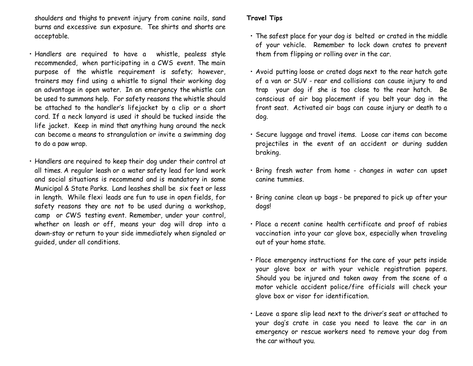shoulders and thighs to prevent injury from canine nails, sand burns and excessive sun exposure. Tee shirts and shorts are acceptable.

- Handlers are required to have a whistle, pealess style recommended, when participating in a CWS event. The main purpose of the whistle requirement is safety; however, trainers may find using a whistle to signal their working dog an advantage in open water. In an emergency the whistle can be used to summons help. For safety reasons the whistle should be attached to the handler's lifejacket by a clip or a short cord. If a neck lanyard is used it should be tucked inside the life jacket. Keep in mind that anything hung around the neck can become a means to strangulation or invite a swimming dog to do a paw wrap.
- Handlers are required to keep their dog under their control at all times. A regular leash or a water safety lead for land work and social situations is recommend and is mandatory in some Municipal & State Parks. Land leashes shall be six feet or less in length. While flexi leads are fun to use in open fields, for safety reasons they are not to be used during a workshop, camp or CWS testing event. Remember, under your control, whether on leash or off, means your dog will drop into a down-stay or return to your side immediately when signaled or guided, under all conditions.

## **Travel Tips**

- The safest place for your dog is belted or crated in the middle of your vehicle. Remember to lock down crates to prevent them from flipping or rolling over in the car.
- Avoid putting loose or crated dogs next to the rear hatch gate of a van or SUV - rear end collisions can cause injury to and trap your dog if she is too close to the rear hatch. Be conscious of air bag placement if you belt your dog in the front seat. Activated air bags can cause injury or death to a dog.
- Secure luggage and travel items. Loose car items can become projectiles in the event of an accident or during sudden braking.
- Bring fresh water from home changes in water can upset canine tummies.
- Bring canine clean up bags be prepared to pick up after your dogs!
- Place a recent canine health certificate and proof of rabies vaccination into your car glove box, especially when traveling out of your home state.
- Place emergency instructions for the care of your pets inside your glove box or with your vehicle registration papers. Should you be injured and taken away from the scene of a motor vehicle accident police/fire officials will check your glove box or visor for identification.
- Leave a spare slip lead next to the driver's seat or attached to your dog's crate in case you need to leave the car in an emergency or rescue workers need to remove your dog from the car without you.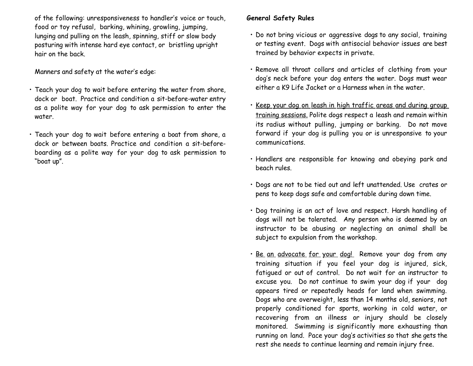of the following: unresponsiveness to handler's voice or touch, food or toy refusal, barking, whining, growling, jumping, lunging and pulling on the leash, spinning, stiff or slow body posturing with intense hard eye contact, or bristling upright hair on the back.

Manners and safety at the water's edge:

- Teach your dog to wait before entering the water from shore, dock or boat. Practice and condition a sit-before-water entry as a polite way for your dog to ask permission to enter the water.
- Teach your dog to wait before entering a boat from shore, a dock or between boats. Practice and condition a sit-beforeboarding as a polite way for your dog to ask permission to "boat up".

# **General Safety Rules**

- Do not bring vicious or aggressive dogs to any social, training or testing event. Dogs with antisocial behavior issues are best trained by behavior expects in private.
- Remove all throat collars and articles of clothing from your dog's neck before your dog enters the water. Dogs must wear either a K9 Life Jacket or a Harness when in the water.
- Keep your dog on leash in high traffic areas and during group training sessions. Polite dogs respect a leash and remain within its radius without pulling, jumping or barking. Do not move forward if your dog is pulling you or is unresponsive to your communications.
- Handlers are responsible for knowing and obeying park and beach rules.
- Dogs are not to be tied out and left unattended. Use crates or pens to keep dogs safe and comfortable during down time.
- Dog training is an act of love and respect. Harsh handling of dogs will not be tolerated. Any person who is deemed by an instructor to be abusing or neglecting an animal shall be subject to expulsion from the workshop.
- · Be an advocate for your dog! Remove your dog from any training situation if you feel your dog is injured, sick, fatigued or out of control. Do not wait for an instructor to excuse you. Do not continue to swim your dog if your dog appears tired or repeatedly heads for land when swimming. Dogs who are overweight, less than 14 months old, seniors, not properly conditioned for sports, working in cold water, or recovering from an illness or injury should be closely monitored. Swimming is significantly more exhausting than running on land. Pace your dog's activities so that she gets the rest she needs to continue learning and remain injury free.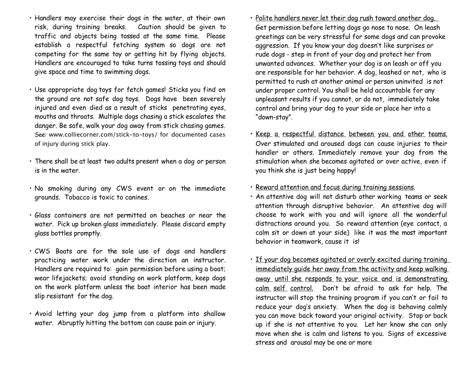- Handlers may exercise their dogs in the water, at their own risk, during training breaks. Caution should be given to traffic and objects being tossed at the same time. Please establish a respectful fetching system so dogs are not competing for the same toy or getting hit by flying objects. Handlers are encouraged to take turns tossing toys and should give space and time to swimming dogs.
- Use appropriate dog toys for fetch games! Sticks you find on the ground are not safe dog toys. Dogs have been severely injured and even died as a result of sticks penetrating eyes, mouths and throats. Multiple dogs chasing a stick escalates the danger. Be safe, walk your dog away from stick chasing games. See: www.colliecorner.com/stick-to-toys/ for documented cases of injury during stick play.
- There shall be at least two adults present when a dog or person is in the water.
- No smoking during any CWS event or on the immediate grounds. Tobacco is toxic to canines.
- Glass containers are not permitted on beaches or near the water. Pick up broken glass immediately. Please discard empty glass bottles promptly.
- CWS Boats are for the sole use of dogs and handlers practicing water work under the direction an instructor. Handlers are required to: gain permission before using a boat; wear lifejackets; avoid standing on work platform, keep dogs on the work platform unless the boat interior has been made slip resistant for the dog.
- Avoid letting your dog jump from a platform into shallow water. Abruptly hitting the bottom can cause pain or injury.
- Polite handlers never let their dog rush toward another dog. Get permission before letting dogs go nose to nose. On leash greetings can be very stressful for some dogs and can provoke aggression. If you know your dog doesn't like surprises or rude dogs - step in front of your dog and protect her from unwanted advances. Whether your dog is on leash or off you are responsible for her behavior. A dog, leashed or not, who is permitted to rush at another animal or person uninvited is not under proper control. You shall be held accountable for any unpleasant results if you cannot, or do not, immediately take control and bring your dog to your side or place her into a "down-stay".
- Keep a respectful distance between you and other teams. Over stimulated and aroused dogs can cause injuries to their handler or others. Immediately remove your dog from the stimulation when she becomes agitated or over active, even if you think she is just being happy!
- Reward attention and focus during training sessions.
- An attentive dog will not disturb other working teams or seek attention through disruptive behavior. An attentive dog will choose to work with you and will ignore all the wonderful distractions around you. So reward attention (eye contact, a calm sit or down at your side) like it was the most important behavior in teamwork, cause it is!
- If your dog becomes agitated or overly excited during training immediately guide her away from the activity and keep walking away until she responds to your voice and is demonstrating calm self control. Don't be afraid to ask for help. The instructor will stop the training program if you can't or fail to reduce your dog's anxiety. When the dog is behaving calmly you can move back toward your original activity. Stop or back up if she is not attentive to you. Let her know she can only move when she is calm and listens to you. Signs of excessive stress and arousal may be one or more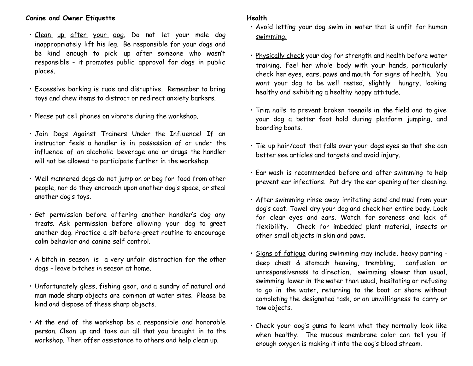#### **Canine and Owner Etiquette**

- Clean up after your dog. Do not let your male dog inappropriately lift his leg. Be responsible for your dogs and be kind enough to pick up after someone who wasn't responsible - it promotes public approval for dogs in public places.
- Excessive barking is rude and disruptive. Remember to bring toys and chew items to distract or redirect anxiety barkers.
- Please put cell phones on vibrate during the workshop.
- Join Dogs Against Trainers Under the Influence! If an instructor feels a handler is in possession of or under the influence of an alcoholic beverage and or drugs the handler will not be allowed to participate further in the workshop.
- Well mannered dogs do not jump on or beg for food from other people, nor do they encroach upon another dog's space, or steal another dog's toys.
- Get permission before offering another handler's dog any treats. Ask permission before allowing your dog to greet another dog. Practice a sit-before-greet routine to encourage calm behavior and canine self control.
- A bitch in season is a very unfair distraction for the other dogs - leave bitches in season at home.
- Unfortunately glass, fishing gear, and a sundry of natural and man made sharp objects are common at water sites. Please be kind and dispose of these sharp objects.
- At the end of the workshop be a responsible and honorable person. Clean up and take out all that you brought in to the workshop. Then offer assistance to others and help clean up.

### **Health**

- Avoid letting your dog swim in water that is unfit for human swimming.
- Physically check your dog for strength and health before water training. Feel her whole body with your hands, particularly check her eyes, ears, paws and mouth for signs of health. You want your dog to be well rested, slightly hungry, looking healthy and exhibiting a healthy happy attitude.
- Trim nails to prevent broken toenails in the field and to give your dog a better foot hold during platform jumping, and boarding boats.
- Tie up hair/coat that falls over your dogs eyes so that she can better see articles and targets and avoid injury.
- Ear wash is recommended before and after swimming to help prevent ear infections. Pat dry the ear opening after cleaning.
- After swimming rinse away irritating sand and mud from your dog's coat. Towel dry your dog and check her entire body. Look for clear eyes and ears. Watch for soreness and lack of flexibility. Check for imbedded plant material, insects or other small objects in skin and paws.
- Signs of fatigue during swimming may include, heavy panting deep chest & stomach heaving, trembling, confusion or unresponsiveness to direction, swimming slower than usual, swimming lower in the water than usual, hesitating or refusing to go in the water, returning to the boat or shore without completing the designated task, or an unwillingness to carry or tow objects.
- Check your dog's gums to learn what they normally look like when healthy. The mucous membrane color can tell you if enough oxygen is making it into the dog's blood stream.